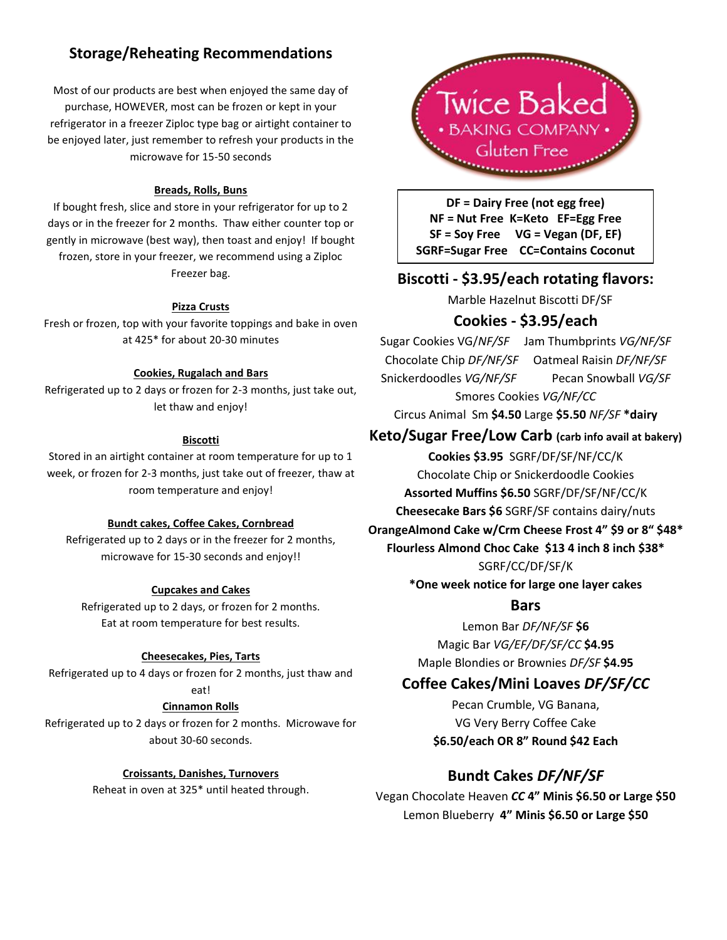# **Storage/Reheating Recommendations**

Most of our products are best when enjoyed the same day of purchase, HOWEVER, most can be frozen or kept in your refrigerator in a freezer Ziploc type bag or airtight container to be enjoyed later, just remember to refresh your products in the microwave for 15-50 seconds

#### **Breads, Rolls, Buns**

If bought fresh, slice and store in your refrigerator for up to 2 days or in the freezer for 2 months. Thaw either counter top or gently in microwave (best way), then toast and enjoy! If bought frozen, store in your freezer, we recommend using a Ziploc Freezer bag.

#### **Pizza Crusts**

Fresh or frozen, top with your favorite toppings and bake in oven at 425\* for about 20-30 minutes

#### **Cookies, Rugalach and Bars**

Refrigerated up to 2 days or frozen for 2-3 months, just take out, let thaw and enjoy!

#### **Biscotti**

Stored in an airtight container at room temperature for up to 1 week, or frozen for 2-3 months, just take out of freezer, thaw at room temperature and enjoy!

#### **Bundt cakes, Coffee Cakes, Cornbread**

Refrigerated up to 2 days or in the freezer for 2 months, microwave for 15-30 seconds and enjoy!!

#### **Cupcakes and Cakes**

Refrigerated up to 2 days, or frozen for 2 months. Eat at room temperature for best results.

#### **Cheesecakes, Pies, Tarts**

Refrigerated up to 4 days or frozen for 2 months, just thaw and eat!

#### **Cinnamon Rolls**

Refrigerated up to 2 days or frozen for 2 months. Microwave for about 30-60 seconds.

#### **Croissants, Danishes, Turnovers**

Reheat in oven at 325\* until heated through.



**DF = Dairy Free (not egg free) NF = Nut Free K=Keto EF=Egg Free SF = Soy Free VG = Vegan (DF, EF) SGRF=Sugar Free CC=Contains Coconut** 

## **Biscotti - \$3.95/each rotating flavors:**

Marble Hazelnut Biscotti DF/SF

## **Cookies - \$3.95/each**

Sugar Cookies VG/*NF/SF* Jam Thumbprints *VG/NF/SF* Chocolate Chip *DF/NF/SF* Oatmeal Raisin *DF/NF/SF* Snickerdoodles *VG/NF/SF* Pecan Snowball *VG/SF* Smores Cookies *VG/NF/CC*

Circus Animal Sm **\$4.50** Large **\$5.50** *NF/SF* **\*dairy**

## **Keto/Sugar Free/Low Carb (carb info avail at bakery)**

**Cookies \$3.95** SGRF/DF/SF/NF/CC/K Chocolate Chip or Snickerdoodle Cookies **Assorted Muffins \$6.50** SGRF/DF/SF/NF/CC/K

**Cheesecake Bars \$6** SGRF/SF contains dairy/nuts

# **OrangeAlmond Cake w/Crm Cheese Frost 4" \$9 or 8" \$48\***

**Flourless Almond Choc Cake \$13 4 inch 8 inch \$38\*** SGRF/CC/DF/SF/K

**\*One week notice for large one layer cakes**

#### **Bars**

Lemon Bar *DF/NF/SF* **\$6** Magic Bar *VG/EF/DF/SF/CC* **\$4.95** Maple Blondies or Brownies *DF/SF* **\$4.95**

## **Coffee Cakes/Mini Loaves** *DF/SF/CC*

Pecan Crumble, VG Banana, VG Very Berry Coffee Cake **\$6.50/each OR 8" Round \$42 Each**

## **Bundt Cakes** *DF/NF/SF*

Vegan Chocolate Heaven *CC* **4" Minis \$6.50 or Large \$50** Lemon Blueberry **4" Minis \$6.50 or Large \$50**